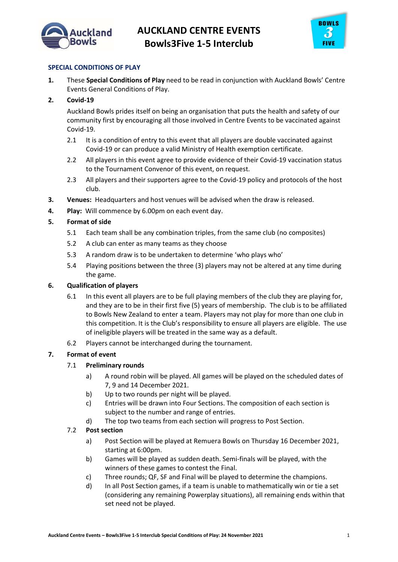



# SPECIAL CONDITIONS OF PLAY

1. These Special Conditions of Play need to be read in conjunction with Auckland Bowls' Centre Events General Conditions of Play.

## 2. Covid-19

Auckland Bowls prides itself on being an organisation that puts the health and safety of our community first by encouraging all those involved in Centre Events to be vaccinated against Covid-19.

- 2.1 It is a condition of entry to this event that all players are double vaccinated against Covid-19 or can produce a valid Ministry of Health exemption certificate.
- 2.2 All players in this event agree to provide evidence of their Covid-19 vaccination status to the Tournament Convenor of this event, on request.
- 2.3 All players and their supporters agree to the Covid-19 policy and protocols of the host club.
- 3. Venues: Headquarters and host venues will be advised when the draw is released.
- 4. Play: Will commence by 6.00pm on each event day.

## 5. Format of side

- 5.1 Each team shall be any combination triples, from the same club (no composites)
- 5.2 A club can enter as many teams as they choose
- 5.3 A random draw is to be undertaken to determine 'who plays who'
- 5.4 Playing positions between the three (3) players may not be altered at any time during the game.

### 6. Qualification of players

- 6.1 In this event all players are to be full playing members of the club they are playing for, and they are to be in their first five (5) years of membership. The club is to be affiliated to Bowls New Zealand to enter a team. Players may not play for more than one club in this competition. It is the Club's responsibility to ensure all players are eligible. The use of ineligible players will be treated in the same way as a default.
- 6.2 Players cannot be interchanged during the tournament.

# 7. Format of event

### 7.1 Preliminary rounds

- a) A round robin will be played. All games will be played on the scheduled dates of 7, 9 and 14 December 2021.
- b) Up to two rounds per night will be played.
- c) Entries will be drawn into Four Sections. The composition of each section is subject to the number and range of entries.
- d) The top two teams from each section will progress to Post Section.

# 7.2 Post section

- a) Post Section will be played at Remuera Bowls on Thursday 16 December 2021, starting at 6:00pm.
- b) Games will be played as sudden death. Semi-finals will be played, with the winners of these games to contest the Final.
- c) Three rounds; QF, SF and Final will be played to determine the champions.
- d) In all Post Section games, if a team is unable to mathematically win or tie a set (considering any remaining Powerplay situations), all remaining ends within that set need not be played.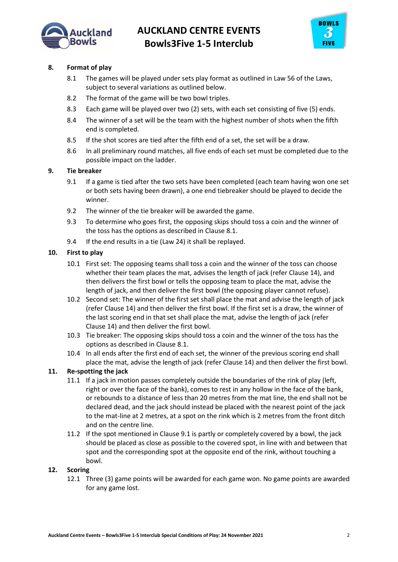



# 8. Format of play

- 8.1 The games will be played under sets play format as outlined in Law 56 of the Laws, subject to several variations as outlined below.
- 8.2 The format of the game will be two bowl triples.
- 8.3 Each game will be played over two (2) sets, with each set consisting of five (5) ends.
- 8.4 The winner of a set will be the team with the highest number of shots when the fifth end is completed.
- 8.5 If the shot scores are tied after the fifth end of a set, the set will be a draw.
- 8.6 In all preliminary round matches, all five ends of each set must be completed due to the possible impact on the ladder.

### 9. Tie breaker

- 9.1 If a game is tied after the two sets have been completed (each team having won one set or both sets having been drawn), a one end tiebreaker should be played to decide the winner.
- 9.2 The winner of the tie breaker will be awarded the game.
- 9.3 To determine who goes first, the opposing skips should toss a coin and the winner of the toss has the options as described in Clause 8.1.
- 9.4 If the end results in a tie (Law 24) it shall be replayed.

### 10. First to play

- 10.1 First set: The opposing teams shall toss a coin and the winner of the toss can choose whether their team places the mat, advises the length of jack (refer Clause 14), and then delivers the first bowl or tells the opposing team to place the mat, advise the length of jack, and then deliver the first bowl (the opposing player cannot refuse).
- 10.2 Second set: The winner of the first set shall place the mat and advise the length of jack (refer Clause 14) and then deliver the first bowl. If the first set is a draw, the winner of the last scoring end in that set shall place the mat, advise the length of jack (refer Clause 14) and then deliver the first bowl.
- 10.3 Tie breaker: The opposing skips should toss a coin and the winner of the toss has the options as described in Clause 8.1.
- 10.4 In all ends after the first end of each set, the winner of the previous scoring end shall place the mat, advise the length of jack (refer Clause 14) and then deliver the first bowl.

### 11. Re-spotting the jack

- 11.1 If a jack in motion passes completely outside the boundaries of the rink of play (left, right or over the face of the bank), comes to rest in any hollow in the face of the bank, or rebounds to a distance of less than 20 metres from the mat line, the end shall not be declared dead, and the jack should instead be placed with the nearest point of the jack to the mat-line at 2 metres, at a spot on the rink which is 2 metres from the front ditch and on the centre line.
- 11.2 If the spot mentioned in Clause 9.1 is partly or completely covered by a bowl, the jack should be placed as close as possible to the covered spot, in line with and between that spot and the corresponding spot at the opposite end of the rink, without touching a bowl.

#### 12. Scoring

12.1 Three (3) game points will be awarded for each game won. No game points are awarded for any game lost.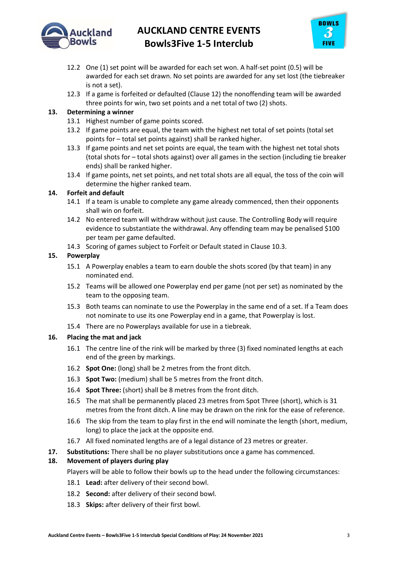

# AUCKLAND CENTRE EVENTS Bowls3Five 1-5 Interclub



- 12.2 One (1) set point will be awarded for each set won. A half-set point (0.5) will be awarded for each set drawn. No set points are awarded for any set lost (the tiebreaker is not a set).
- 12.3 If a game is forfeited or defaulted (Clause 12) the nonoffending team will be awarded three points for win, two set points and a net total of two (2) shots.

# 13. Determining a winner

- 13.1 Highest number of game points scored.
- 13.2 If game points are equal, the team with the highest net total of set points (total set points for – total set points against) shall be ranked higher.
- 13.3 If game points and net set points are equal, the team with the highest net total shots (total shots for – total shots against) over all games in the section (including tie breaker ends) shall be ranked higher.
- 13.4 If game points, net set points, and net total shots are all equal, the toss of the coin will determine the higher ranked team.

## 14. Forfeit and default

- 14.1 If a team is unable to complete any game already commenced, then their opponents shall win on forfeit.
- 14.2 No entered team will withdraw without just cause. The Controlling Body will require evidence to substantiate the withdrawal. Any offending team may be penalised \$100 per team per game defaulted.
- 14.3 Scoring of games subject to Forfeit or Default stated in Clause 10.3.

## 15. Powerplay

- 15.1 A Powerplay enables a team to earn double the shots scored (by that team) in any nominated end.
- 15.2 Teams will be allowed one Powerplay end per game (not per set) as nominated by the team to the opposing team.
- 15.3 Both teams can nominate to use the Powerplay in the same end of a set. If a Team does not nominate to use its one Powerplay end in a game, that Powerplay is lost.
- 15.4 There are no Powerplays available for use in a tiebreak.

### 16. Placing the mat and jack

- 16.1 The centre line of the rink will be marked by three (3) fixed nominated lengths at each end of the green by markings.
- 16.2 Spot One: (long) shall be 2 metres from the front ditch.
- 16.3 Spot Two: (medium) shall be 5 metres from the front ditch.
- 16.4 Spot Three: (short) shall be 8 metres from the front ditch.
- 16.5 The mat shall be permanently placed 23 metres from Spot Three (short), which is 31 metres from the front ditch. A line may be drawn on the rink for the ease of reference.
- 16.6 The skip from the team to play first in the end will nominate the length (short, medium, long) to place the jack at the opposite end.
- 16.7 All fixed nominated lengths are of a legal distance of 23 metres or greater.
- 17. Substitutions: There shall be no player substitutions once a game has commenced.

# 18. Movement of players during play

Players will be able to follow their bowls up to the head under the following circumstances:

- 18.1 Lead: after delivery of their second bowl.
- 18.2 Second: after delivery of their second bowl.
- 18.3 Skips: after delivery of their first bowl.